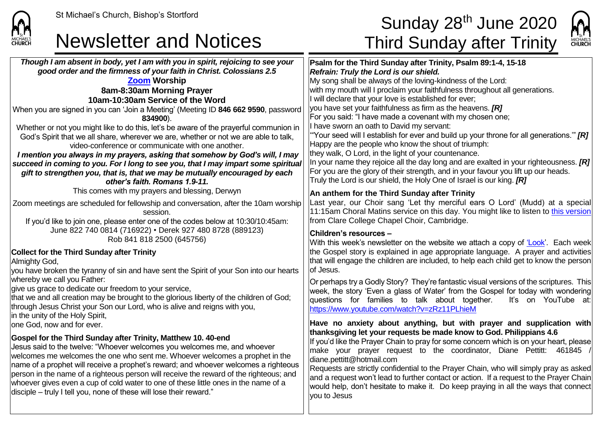**CHURCH** 

### Newsletter and Notices Third Sunday after Trinity

## St Michael's Church, Bishop's Stortford  $\mathsf{Sunday\ 28}^{\mathsf{th}}$  June 2020



*Though I am absent in body, yet I am with you in spirit, rejoicing to see your good order and the firmness of your faith in Christ. Colossians 2.5* **[Zoom](https://zoom.us/) Worship 8am-8:30am Morning Prayer 10am-10:30am Service of the Word** When you are signed in you can 'Join a Meeting' (Meeting ID **846 662 9590**, password **834900**). Whether or not you might like to do this, let's be aware of the prayerful communion in God's Spirit that we all share, wherever we are, whether or not we are able to talk, video-conference or communicate with one another. *I mention you always in my prayers, asking that somehow by God's will, I may succeed in coming to you. For I long to see you, that I may impart some spiritual gift to strengthen you, that is, that we may be mutually encouraged by each other's faith. Romans 1.9-11.* This comes with my prayers and blessing, Derwyn Zoom meetings are scheduled for fellowship and conversation, after the 10am worship session. If you'd like to join one, please enter one of the codes below at 10:30/10:45am: June 822 740 0814 (716922) • Derek 927 480 8728 (889123) Rob 841 818 2500 (645756) **Collect for the Third Sunday after Trinity** Almighty God, you have broken the tyranny of sin and have sent the Spirit of your Son into our hearts whereby we call you Father: give us grace to dedicate our freedom to your service, that we and all creation may be brought to the glorious liberty of the children of God; through Jesus Christ your Son our Lord, who is alive and reigns with you, In the unity of the Holy Spirit, lone God, now and for ever. **Gospel for the Third Sunday after Trinity, Matthew 10. 40-end** Jesus said to the twelve: "Whoever welcomes you welcomes me, and whoever welcomes me welcomes the one who sent me. Whoever welcomes a prophet in the name of a prophet will receive a prophet's reward; and whoever welcomes a righteous person in the name of a righteous person will receive the reward of the righteous; and whoever gives even a cup of cold water to one of these little ones in the name of a disciple – truly I tell you, none of these will lose their reward." **Psalm for the Third Sunday after Trinity, Psalm 89:1-4, 15-18** *Refrain: Truly the Lord is our shield.* My song shall be always of the loving-kindness of the Lord: with my mouth will I proclaim your faithfulness throughout all generations. I will declare that your love is established for ever; you have set your faithfulness as firm as the heavens. *[R]* For you said: "I have made a covenant with my chosen one; I have sworn an oath to David my servant: '"Your seed will I establish for ever and build up your throne for all generations.'" *[R]* Happy are the people who know the shout of triumph: they walk, O Lord, in the light of your countenance. In your name they rejoice all the day long and are exalted in your righteousness. *[R]* For you are the glory of their strength, and in your favour you lift up our heads. Truly the Lord is our shield, the Holy One of Israel is our king. *[R]* **An anthem for the Third Sunday after Trinity** Last year, our Choir sang 'Let thy merciful ears O Lord' (Mudd) at a special 11:15am Choral Matins service on this day. You might like to listen to [this version](https://www.youtube.com/watch?v=7b5O0bOY2Co) from Clare College Chapel Choir, Cambridge. **Children's resources –** With this week's newsletter on the website we attach a copy of ['Look'.](https://saintmichaelweb.org.uk/Articles/542815/_Newsletter.aspx) Each week the Gospel story is explained in age appropriate language. A prayer and activities that will engage the children are included, to help each child get to know the person of Jesus. Or perhaps try a Godly Story? They're fantastic visual versions of the scriptures. This week, the story 'Even a glass of Water' from the Gospel for today with wondering questions for families to talk about together. It's on YouTube at: <https://www.youtube.com/watch?v=zRz11PLhieM> **Have no anxiety about anything, but with prayer and supplication with thanksgiving let your requests be made know to God. Philippians 4.6** If you'd like the Prayer Chain to pray for some concern which is on your heart, please make your prayer request to the coordinator, Diane Pettitt: 461845 diane.pettitt@hotmail.com Requests are strictly confidential to the Prayer Chain, who will simply pray as asked and a request won't lead to further contact or action. If a request to the Prayer Chain would help, don't hesitate to make it. Do keep praying in all the ways that connect you to Jesus